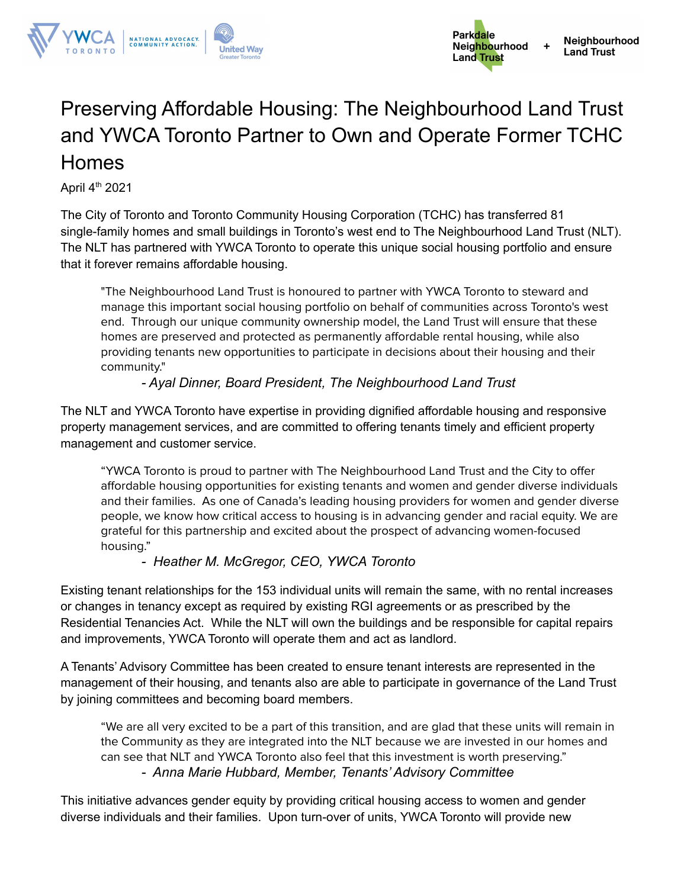

## Preserving Affordable Housing: The Neighbourhood Land Trust and YWCA Toronto Partner to Own and Operate Former TCHC Homes

April 4<sup>th</sup> 2021

The City of Toronto and Toronto Community Housing Corporation (TCHC) has transferred 81 single-family homes and small buildings in Toronto's west end to The Neighbourhood Land Trust (NLT). The NLT has partnered with YWCA Toronto to operate this unique social housing portfolio and ensure that it forever remains affordable housing.

"The Neighbourhood Land Trust is honoured to partner with YWCA Toronto to steward and manage this important social housing portfolio on behalf of communities across Toronto's west end. Through our unique community ownership model, the Land Trust will ensure that these homes are preserved and protected as permanently affordable rental housing, while also providing tenants new opportunities to participate in decisions about their housing and their community."

## *- Ayal Dinner, Board President, The Neighbourhood Land Trust*

The NLT and YWCA Toronto have expertise in providing dignified affordable housing and responsive property management services, and are committed to offering tenants timely and efficient property management and customer service.

"YWCA Toronto is proud to partner with The Neighbourhood Land Trust and the City to offer affordable housing opportunities for existing tenants and women and gender diverse individuals and their families. As one of Canada's leading housing providers for women and gender diverse people, we know how critical access to housing is in advancing gender and racial equity. We are grateful for this partnership and excited about the prospect of advancing women-focused housing."

## *- Heather M. McGregor, CEO, YWCA Toronto*

Existing tenant relationships for the 153 individual units will remain the same, with no rental increases or changes in tenancy except as required by existing RGI agreements or as prescribed by the Residential Tenancies Act. While the NLT will own the buildings and be responsible for capital repairs and improvements, YWCA Toronto will operate them and act as landlord.

A Tenants' Advisory Committee has been created to ensure tenant interests are represented in the management of their housing, and tenants also are able to participate in governance of the Land Trust by joining committees and becoming board members.

"We are all very excited to be a part of this transition, and are glad that these units will remain in the Community as they are integrated into the NLT because we are invested in our homes and can see that NLT and YWCA Toronto also feel that this investment is worth preserving." *- Anna Marie Hubbard, Member, Tenants' Advisory Committee*

This initiative advances gender equity by providing critical housing access to women and gender diverse individuals and their families. Upon turn-over of units, YWCA Toronto will provide new